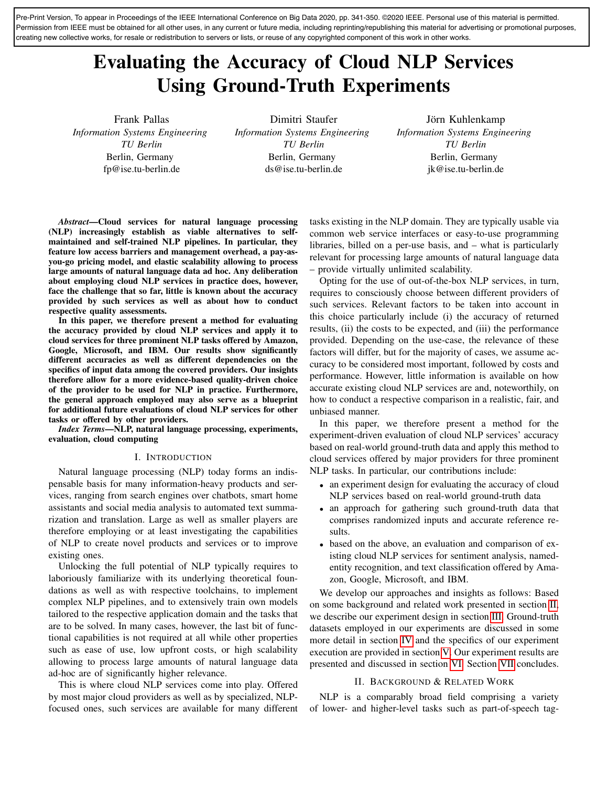Pre-Print Version, To appear in Proceedings of the IEEE International Conference on Big Data 2020, pp. 341-350. ©2020 IEEE. Personal use of this material is permitted. Permission from IEEE must be obtained for all other uses, in any current or future media, including reprinting/republishing this material for advertising or promotional purposes, creating new collective works, for resale or redistribution to servers or lists, or reuse of any copyrighted component of this work in other works.

# Evaluating the Accuracy of Cloud NLP Services Using Ground-Truth Experiments

Frank Pallas *Information Systems Engineering TU Berlin* Berlin, Germany fp@ise.tu-berlin.de

Dimitri Staufer *Information Systems Engineering TU Berlin* Berlin, Germany ds@ise.tu-berlin.de

Jörn Kuhlenkamp *Information Systems Engineering TU Berlin* Berlin, Germany jk@ise.tu-berlin.de

*Abstract*—Cloud services for natural language processing (NLP) increasingly establish as viable alternatives to selfmaintained and self-trained NLP pipelines. In particular, they feature low access barriers and management overhead, a pay-asyou-go pricing model, and elastic scalability allowing to process large amounts of natural language data ad hoc. Any deliberation about employing cloud NLP services in practice does, however, face the challenge that so far, little is known about the accuracy provided by such services as well as about how to conduct respective quality assessments.

In this paper, we therefore present a method for evaluating the accuracy provided by cloud NLP services and apply it to cloud services for three prominent NLP tasks offered by Amazon, Google, Microsoft, and IBM. Our results show significantly different accuracies as well as different dependencies on the specifics of input data among the covered providers. Our insights therefore allow for a more evidence-based quality-driven choice of the provider to be used for NLP in practice. Furthermore, the general approach employed may also serve as a blueprint for additional future evaluations of cloud NLP services for other tasks or offered by other providers.

*Index Terms*—NLP, natural language processing, experiments, evaluation, cloud computing

## I. INTRODUCTION

Natural language processing (NLP) today forms an indispensable basis for many information-heavy products and services, ranging from search engines over chatbots, smart home assistants and social media analysis to automated text summarization and translation. Large as well as smaller players are therefore employing or at least investigating the capabilities of NLP to create novel products and services or to improve existing ones.

Unlocking the full potential of NLP typically requires to laboriously familiarize with its underlying theoretical foundations as well as with respective toolchains, to implement complex NLP pipelines, and to extensively train own models tailored to the respective application domain and the tasks that are to be solved. In many cases, however, the last bit of functional capabilities is not required at all while other properties such as ease of use, low upfront costs, or high scalability allowing to process large amounts of natural language data ad-hoc are of significantly higher relevance.

This is where cloud NLP services come into play. Offered by most major cloud providers as well as by specialized, NLPfocused ones, such services are available for many different tasks existing in the NLP domain. They are typically usable via common web service interfaces or easy-to-use programming libraries, billed on a per-use basis, and – what is particularly relevant for processing large amounts of natural language data – provide virtually unlimited scalability.

Opting for the use of out-of-the-box NLP services, in turn, requires to consciously choose between different providers of such services. Relevant factors to be taken into account in this choice particularly include (i) the accuracy of returned results, (ii) the costs to be expected, and (iii) the performance provided. Depending on the use-case, the relevance of these factors will differ, but for the majority of cases, we assume accuracy to be considered most important, followed by costs and performance. However, little information is available on how accurate existing cloud NLP services are and, noteworthily, on how to conduct a respective comparison in a realistic, fair, and unbiased manner.

In this paper, we therefore present a method for the experiment-driven evaluation of cloud NLP services' accuracy based on real-world ground-truth data and apply this method to cloud services offered by major providers for three prominent NLP tasks. In particular, our contributions include:

- an experiment design for evaluating the accuracy of cloud NLP services based on real-world ground-truth data
- an approach for gathering such ground-truth data that comprises randomized inputs and accurate reference results.
- based on the above, an evaluation and comparison of existing cloud NLP services for sentiment analysis, namedentity recognition, and text classification offered by Amazon, Google, Microsoft, and IBM.

We develop our approaches and insights as follows: Based on some background and related work presented in section [II,](#page-0-0) we describe our experiment design in section [III.](#page-1-0) Ground-truth datasets employed in our experiments are discussed in some more detail in section [IV](#page-2-0) and the specifics of our experiment execution are provided in section [V.](#page-5-0) Our experiment results are presented and discussed in section [VI.](#page-6-0) Section [VII](#page-9-0) concludes.

#### II. BACKGROUND & RELATED WORK

<span id="page-0-0"></span>NLP is a comparably broad field comprising a variety of lower- and higher-level tasks such as part-of-speech tag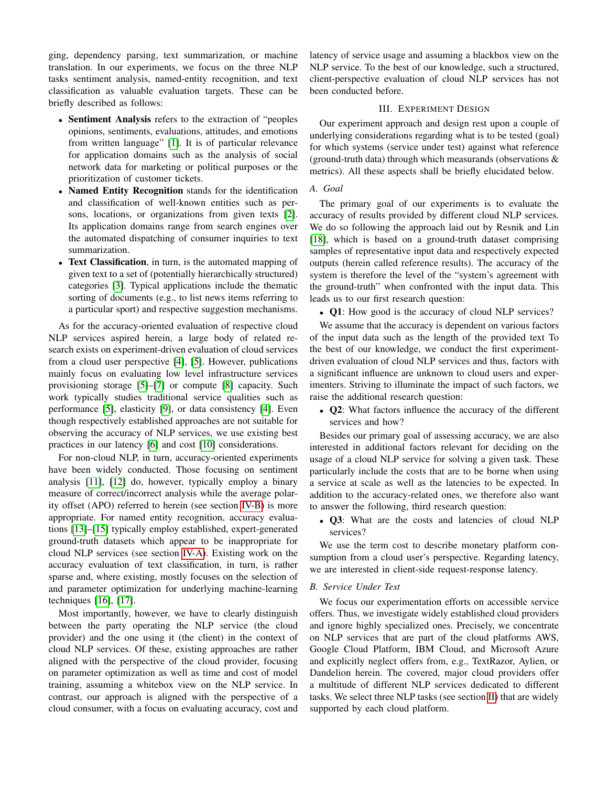ging, dependency parsing, text summarization, or machine translation. In our experiments, we focus on the three NLP tasks sentiment analysis, named-entity recognition, and text classification as valuable evaluation targets. These can be briefly described as follows:

- Sentiment Analysis refers to the extraction of "peoples opinions, sentiments, evaluations, attitudes, and emotions from written language" [\[1\]](#page-9-1). It is of particular relevance for application domains such as the analysis of social network data for marketing or political purposes or the prioritization of customer tickets.
- Named Entity Recognition stands for the identification and classification of well-known entities such as persons, locations, or organizations from given texts [\[2\]](#page-9-2). Its application domains range from search engines over the automated dispatching of consumer inquiries to text summarization.
- Text Classification, in turn, is the automated mapping of given text to a set of (potentially hierarchically structured) categories [\[3\]](#page-9-3). Typical applications include the thematic sorting of documents (e.g., to list news items referring to a particular sport) and respective suggestion mechanisms.

As for the accuracy-oriented evaluation of respective cloud NLP services aspired herein, a large body of related research exists on experiment-driven evaluation of cloud services from a cloud user perspective [\[4\]](#page-9-4), [\[5\]](#page-9-5). However, publications mainly focus on evaluating low level infrastructure services provisioning storage [\[5\]](#page-9-5)–[\[7\]](#page-9-6) or compute [\[8\]](#page-9-7) capacity. Such work typically studies traditional service qualities such as performance [\[5\]](#page-9-5), elasticity [\[9\]](#page-9-8), or data consistency [\[4\]](#page-9-4). Even though respectively established approaches are not suitable for observing the accuracy of NLP services, we use existing best practices in our latency [\[6\]](#page-9-9) and cost [\[10\]](#page-9-10) considerations.

For non-cloud NLP, in turn, accuracy-oriented experiments have been widely conducted. Those focusing on sentiment analysis [\[11\]](#page-9-11), [\[12\]](#page-9-12) do, however, typically employ a binary measure of correct/incorrect analysis while the average polarity offset (APO) referred to herein (see section [IV-B\)](#page-3-0) is more appropriate. For named entity recognition, accuracy evaluations [\[13\]](#page-9-13)–[\[15\]](#page-9-14) typically employ established, expert-generated ground-truth datasets which appear to be inappropriate for cloud NLP services (see section [IV-A\)](#page-2-1). Existing work on the accuracy evaluation of text classification, in turn, is rather sparse and, where existing, mostly focuses on the selection of and parameter optimization for underlying machine-learning techniques [\[16\]](#page-9-15), [\[17\]](#page-9-16).

Most importantly, however, we have to clearly distinguish between the party operating the NLP service (the cloud provider) and the one using it (the client) in the context of cloud NLP services. Of these, existing approaches are rather aligned with the perspective of the cloud provider, focusing on parameter optimization as well as time and cost of model training, assuming a whitebox view on the NLP service. In contrast, our approach is aligned with the perspective of a cloud consumer, with a focus on evaluating accuracy, cost and

latency of service usage and assuming a blackbox view on the NLP service. To the best of our knowledge, such a structured, client-perspective evaluation of cloud NLP services has not been conducted before.

# III. EXPERIMENT DESIGN

<span id="page-1-0"></span>Our experiment approach and design rest upon a couple of underlying considerations regarding what is to be tested (goal) for which systems (service under test) against what reference (ground-truth data) through which measurands (observations & metrics). All these aspects shall be briefly elucidated below.

# *A. Goal*

The primary goal of our experiments is to evaluate the accuracy of results provided by different cloud NLP services. We do so following the approach laid out by Resnik and Lin [\[18\]](#page-9-17), which is based on a ground-truth dataset comprising samples of representative input data and respectively expected outputs (herein called reference results). The accuracy of the system is therefore the level of the "system's agreement with the ground-truth" when confronted with the input data. This leads us to our first research question:

• Q1: How good is the accuracy of cloud NLP services?

We assume that the accuracy is dependent on various factors of the input data such as the length of the provided text To the best of our knowledge, we conduct the first experimentdriven evaluation of cloud NLP services and thus, factors with a significant influence are unknown to cloud users and experimenters. Striving to illuminate the impact of such factors, we raise the additional research question:

• Q2: What factors influence the accuracy of the different services and how?

Besides our primary goal of assessing accuracy, we are also interested in additional factors relevant for deciding on the usage of a cloud NLP service for solving a given task. These particularly include the costs that are to be borne when using a service at scale as well as the latencies to be expected. In addition to the accuracy-related ones, we therefore also want to answer the following, third research question:

• Q3: What are the costs and latencies of cloud NLP services?

We use the term cost to describe monetary platform consumption from a cloud user's perspective. Regarding latency, we are interested in client-side request-response latency.

# *B. Service Under Test*

We focus our experimentation efforts on accessible service offers. Thus, we investigate widely established cloud providers and ignore highly specialized ones. Precisely, we concentrate on NLP services that are part of the cloud platforms AWS, Google Cloud Platform, IBM Cloud, and Microsoft Azure and explicitly neglect offers from, e.g., TextRazor, Aylien, or Dandelion herein. The covered, major cloud providers offer a multitude of different NLP services dedicated to different tasks. We select three NLP tasks (see section [II\)](#page-0-0) that are widely supported by each cloud platform.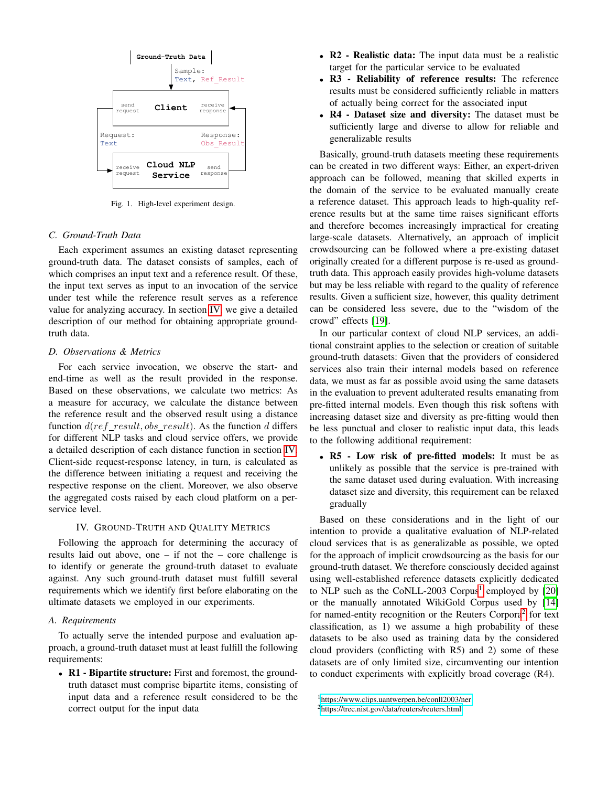

Fig. 1. High-level experiment design.

# *C. Ground-Truth Data*

Each experiment assumes an existing dataset representing ground-truth data. The dataset consists of samples, each of which comprises an input text and a reference result. Of these, the input text serves as input to an invocation of the service under test while the reference result serves as a reference value for analyzing accuracy. In section [IV,](#page-2-0) we give a detailed description of our method for obtaining appropriate groundtruth data.

## *D. Observations & Metrics*

For each service invocation, we observe the start- and end-time as well as the result provided in the response. Based on these observations, we calculate two metrics: As a measure for accuracy, we calculate the distance between the reference result and the observed result using a distance function  $d(ref\_result, obs\_result)$ . As the function d differs for different NLP tasks and cloud service offers, we provide a detailed description of each distance function in section [IV.](#page-2-0) Client-side request-response latency, in turn, is calculated as the difference between initiating a request and receiving the respective response on the client. Moreover, we also observe the aggregated costs raised by each cloud platform on a perservice level.

## IV. GROUND-TRUTH AND QUALITY METRICS

<span id="page-2-0"></span>Following the approach for determining the accuracy of results laid out above, one – if not the – core challenge is to identify or generate the ground-truth dataset to evaluate against. Any such ground-truth dataset must fulfill several requirements which we identify first before elaborating on the ultimate datasets we employed in our experiments.

#### <span id="page-2-1"></span>*A. Requirements*

To actually serve the intended purpose and evaluation approach, a ground-truth dataset must at least fulfill the following requirements:

• R1 - Bipartite structure: First and foremost, the groundtruth dataset must comprise bipartite items, consisting of input data and a reference result considered to be the correct output for the input data

- R2 Realistic data: The input data must be a realistic target for the particular service to be evaluated
- R3 Reliability of reference results: The reference results must be considered sufficiently reliable in matters of actually being correct for the associated input
- R4 Dataset size and diversity: The dataset must be sufficiently large and diverse to allow for reliable and generalizable results

Basically, ground-truth datasets meeting these requirements can be created in two different ways: Either, an expert-driven approach can be followed, meaning that skilled experts in the domain of the service to be evaluated manually create a reference dataset. This approach leads to high-quality reference results but at the same time raises significant efforts and therefore becomes increasingly impractical for creating large-scale datasets. Alternatively, an approach of implicit crowdsourcing can be followed where a pre-existing dataset originally created for a different purpose is re-used as groundtruth data. This approach easily provides high-volume datasets but may be less reliable with regard to the quality of reference results. Given a sufficient size, however, this quality detriment can be considered less severe, due to the "wisdom of the crowd" effects [\[19\]](#page-9-18).

In our particular context of cloud NLP services, an additional constraint applies to the selection or creation of suitable ground-truth datasets: Given that the providers of considered services also train their internal models based on reference data, we must as far as possible avoid using the same datasets in the evaluation to prevent adulterated results emanating from pre-fitted internal models. Even though this risk softens with increasing dataset size and diversity as pre-fitting would then be less punctual and closer to realistic input data, this leads to the following additional requirement:

• R5 - Low risk of pre-fitted models: It must be as unlikely as possible that the service is pre-trained with the same dataset used during evaluation. With increasing dataset size and diversity, this requirement can be relaxed gradually

Based on these considerations and in the light of our intention to provide a qualitative evaluation of NLP-related cloud services that is as generalizable as possible, we opted for the approach of implicit crowdsourcing as the basis for our ground-truth dataset. We therefore consciously decided against using well-established reference datasets explicitly dedicated to NLP such as the CoNLL-2003 Corpus<sup>[1](#page-2-2)</sup> employed by [\[20\]](#page-9-19) or the manually annotated WikiGold Corpus used by [\[14\]](#page-9-20) for named-entity recognition or the Reuters Corpora<sup>[2](#page-2-3)</sup> for text classification, as 1) we assume a high probability of these datasets to be also used as training data by the considered cloud providers (conflicting with R5) and 2) some of these datasets are of only limited size, circumventing our intention to conduct experiments with explicitly broad coverage (R4).

<span id="page-2-2"></span><sup>1</sup><https://www.clips.uantwerpen.be/conll2003/ner>

<span id="page-2-3"></span><sup>2</sup><https://trec.nist.gov/data/reuters/reuters.html>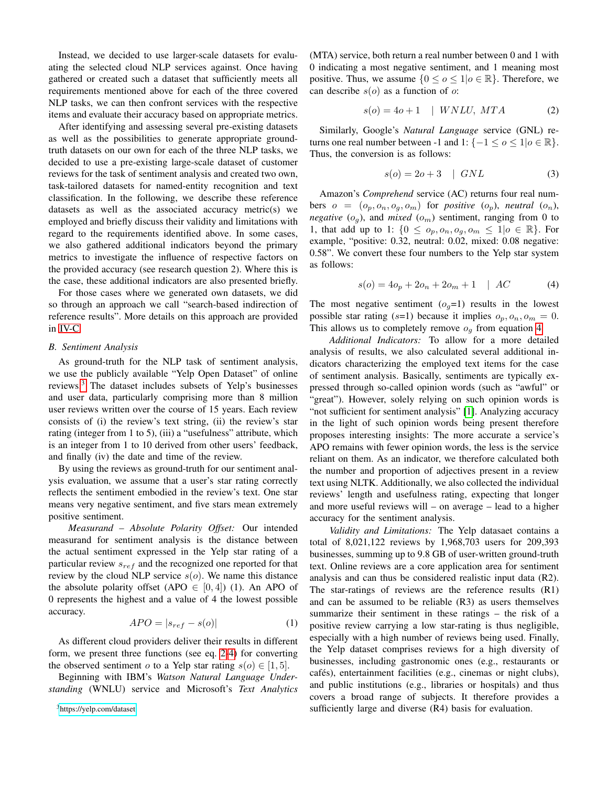Instead, we decided to use larger-scale datasets for evaluating the selected cloud NLP services against. Once having gathered or created such a dataset that sufficiently meets all requirements mentioned above for each of the three covered NLP tasks, we can then confront services with the respective items and evaluate their accuracy based on appropriate metrics.

After identifying and assessing several pre-existing datasets as well as the possibilities to generate appropriate groundtruth datasets on our own for each of the three NLP tasks, we decided to use a pre-existing large-scale dataset of customer reviews for the task of sentiment analysis and created two own, task-tailored datasets for named-entity recognition and text classification. In the following, we describe these reference datasets as well as the associated accuracy metric(s) we employed and briefly discuss their validity and limitations with regard to the requirements identified above. In some cases, we also gathered additional indicators beyond the primary metrics to investigate the influence of respective factors on the provided accuracy (see research question 2). Where this is the case, these additional indicators are also presented briefly.

For those cases where we generated own datasets, we did so through an approach we call "search-based indirection of reference results". More details on this approach are provided in [IV-C.](#page-4-0)

#### <span id="page-3-0"></span>*B. Sentiment Analysis*

As ground-truth for the NLP task of sentiment analysis, we use the publicly available "Yelp Open Dataset" of online reviews.[3](#page-3-1) The dataset includes subsets of Yelp's businesses and user data, particularly comprising more than 8 million user reviews written over the course of 15 years. Each review consists of (i) the review's text string, (ii) the review's star rating (integer from 1 to 5), (iii) a "usefulness" attribute, which is an integer from 1 to 10 derived from other users' feedback, and finally (iv) the date and time of the review.

By using the reviews as ground-truth for our sentiment analysis evaluation, we assume that a user's star rating correctly reflects the sentiment embodied in the review's text. One star means very negative sentiment, and five stars mean extremely positive sentiment.

*Measurand – Absolute Polarity Offset:* Our intended measurand for sentiment analysis is the distance between the actual sentiment expressed in the Yelp star rating of a particular review  $s_{ref}$  and the recognized one reported for that review by the cloud NLP service  $s(o)$ . We name this distance the absolute polarity offset (APO  $\in$  [0, 4]) (1). An APO of 0 represents the highest and a value of 4 the lowest possible accuracy.

$$
APO = |s_{ref} - s(o)| \tag{1}
$$

As different cloud providers deliver their results in different form, we present three functions (see eq. [2-](#page-3-2)[4\)](#page-3-3) for converting the observed sentiment o to a Yelp star rating  $s(o) \in [1, 5]$ .

Beginning with IBM's *Watson Natural Language Understanding* (WNLU) service and Microsoft's *Text Analytics*

<span id="page-3-1"></span><sup>3</sup><https://yelp.com/dataset>

(MTA) service, both return a real number between 0 and 1 with 0 indicating a most negative sentiment, and 1 meaning most positive. Thus, we assume  $\{0 \le o \le 1 | o \in \mathbb{R}\}$ . Therefore, we can describe  $s(o)$  as a function of o:

<span id="page-3-2"></span>
$$
s(o) = 4o + 1 \quad | \quad WNLU, \quad MTA \tag{2}
$$

Similarly, Google's *Natural Language* service (GNL) returns one real number between -1 and 1: { $-1 \le o \le 1$ | $o \in \mathbb{R}$ }. Thus, the conversion is as follows:

$$
s(o) = 2o + 3 \quad | \quad GNU \tag{3}
$$

Amazon's *Comprehend* service (AC) returns four real numbers  $o = (o_p, o_n, o_q, o_m)$  for *positive*  $(o_p)$ , *neutral*  $(o_n)$ , *negative*  $(o_g)$ , and *mixed*  $(o_m)$  sentiment, ranging from 0 to 1, that add up to 1:  $\{0 \leq o_p, o_n, o_q, o_m \leq 1 | o \in \mathbb{R}\}$ . For example, "positive: 0.32, neutral: 0.02, mixed: 0.08 negative: 0.58". We convert these four numbers to the Yelp star system as follows:

<span id="page-3-3"></span>
$$
s(o) = 4o_p + 2o_n + 2o_m + 1 \quad | \quad AC
$$
 (4)

The most negative sentiment  $(o_q=1)$  results in the lowest possible star rating (s=1) because it implies  $o_p, o_n, o_m = 0$ . This allows us to completely remove  $o<sub>q</sub>$  from equation [4.](#page-3-3)

*Additional Indicators:* To allow for a more detailed analysis of results, we also calculated several additional indicators characterizing the employed text items for the case of sentiment analysis. Basically, sentiments are typically expressed through so-called opinion words (such as "awful" or "great"). However, solely relying on such opinion words is "not sufficient for sentiment analysis" [\[1\]](#page-9-1). Analyzing accuracy in the light of such opinion words being present therefore proposes interesting insights: The more accurate a service's APO remains with fewer opinion words, the less is the service reliant on them. As an indicator, we therefore calculated both the number and proportion of adjectives present in a review text using NLTK. Additionally, we also collected the individual reviews' length and usefulness rating, expecting that longer and more useful reviews will – on average – lead to a higher accuracy for the sentiment analysis.

*Validity and Limitations:* The Yelp datasaet contains a total of 8,021,122 reviews by 1,968,703 users for 209,393 businesses, summing up to 9.8 GB of user-written ground-truth text. Online reviews are a core application area for sentiment analysis and can thus be considered realistic input data (R2). The star-ratings of reviews are the reference results (R1) and can be assumed to be reliable (R3) as users themselves summarize their sentiment in these ratings – the risk of a positive review carrying a low star-rating is thus negligible, especially with a high number of reviews being used. Finally, the Yelp dataset comprises reviews for a high diversity of businesses, including gastronomic ones (e.g., restaurants or cafés), entertainment facilities (e.g., cinemas or night clubs), and public institutions (e.g., libraries or hospitals) and thus covers a broad range of subjects. It therefore provides a sufficiently large and diverse (R4) basis for evaluation.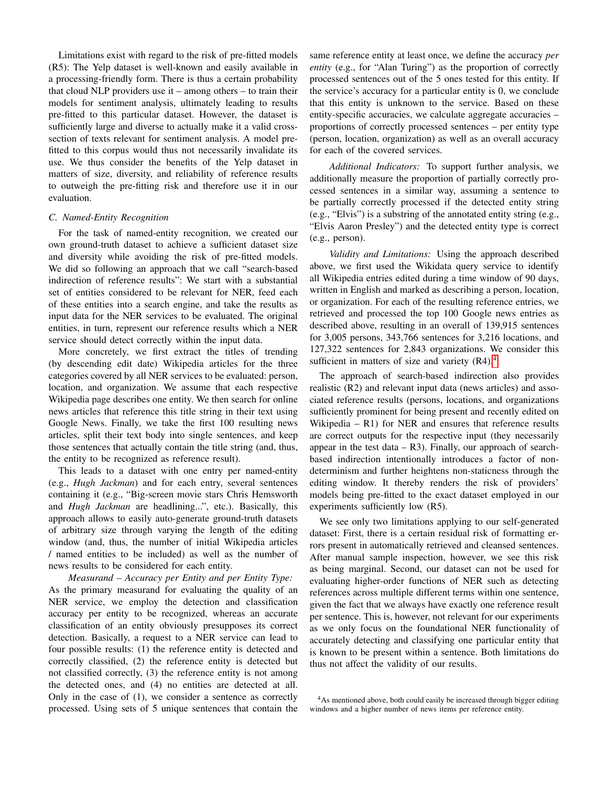Limitations exist with regard to the risk of pre-fitted models (R5): The Yelp dataset is well-known and easily available in a processing-friendly form. There is thus a certain probability that cloud NLP providers use it – among others – to train their models for sentiment analysis, ultimately leading to results pre-fitted to this particular dataset. However, the dataset is sufficiently large and diverse to actually make it a valid crosssection of texts relevant for sentiment analysis. A model prefitted to this corpus would thus not necessarily invalidate its use. We thus consider the benefits of the Yelp dataset in matters of size, diversity, and reliability of reference results to outweigh the pre-fitting risk and therefore use it in our evaluation.

## <span id="page-4-0"></span>*C. Named-Entity Recognition*

For the task of named-entity recognition, we created our own ground-truth dataset to achieve a sufficient dataset size and diversity while avoiding the risk of pre-fitted models. We did so following an approach that we call "search-based indirection of reference results": We start with a substantial set of entities considered to be relevant for NER, feed each of these entities into a search engine, and take the results as input data for the NER services to be evaluated. The original entities, in turn, represent our reference results which a NER service should detect correctly within the input data.

More concretely, we first extract the titles of trending (by descending edit date) Wikipedia articles for the three categories covered by all NER services to be evaluated: person, location, and organization. We assume that each respective Wikipedia page describes one entity. We then search for online news articles that reference this title string in their text using Google News. Finally, we take the first 100 resulting news articles, split their text body into single sentences, and keep those sentences that actually contain the title string (and, thus, the entity to be recognized as reference result).

This leads to a dataset with one entry per named-entity (e.g., *Hugh Jackman*) and for each entry, several sentences containing it (e.g., "Big-screen movie stars Chris Hemsworth and *Hugh Jackman* are headlining...", etc.). Basically, this approach allows to easily auto-generate ground-truth datasets of arbitrary size through varying the length of the editing window (and, thus, the number of initial Wikipedia articles / named entities to be included) as well as the number of news results to be considered for each entity.

<span id="page-4-2"></span>*Measurand – Accuracy per Entity and per Entity Type:* As the primary measurand for evaluating the quality of an NER service, we employ the detection and classification accuracy per entity to be recognized, whereas an accurate classification of an entity obviously presupposes its correct detection. Basically, a request to a NER service can lead to four possible results: (1) the reference entity is detected and correctly classified, (2) the reference entity is detected but not classified correctly, (3) the reference entity is not among the detected ones, and (4) no entities are detected at all. Only in the case of (1), we consider a sentence as correctly processed. Using sets of 5 unique sentences that contain the

same reference entity at least once, we define the accuracy *per entity* (e.g., for "Alan Turing") as the proportion of correctly processed sentences out of the 5 ones tested for this entity. If the service's accuracy for a particular entity is 0, we conclude that this entity is unknown to the service. Based on these entity-specific accuracies, we calculate aggregate accuracies – proportions of correctly processed sentences – per entity type (person, location, organization) as well as an overall accuracy for each of the covered services.

*Additional Indicators:* To support further analysis, we additionally measure the proportion of partially correctly processed sentences in a similar way, assuming a sentence to be partially correctly processed if the detected entity string (e.g., "Elvis") is a substring of the annotated entity string (e.g., "Elvis Aaron Presley") and the detected entity type is correct (e.g., person).

*Validity and Limitations:* Using the approach described above, we first used the Wikidata query service to identify all Wikipedia entries edited during a time window of 90 days, written in English and marked as describing a person, location, or organization. For each of the resulting reference entries, we retrieved and processed the top 100 Google news entries as described above, resulting in an overall of 139,915 sentences for 3,005 persons, 343,766 sentences for 3,216 locations, and 127,322 sentences for 2,843 organizations. We consider this sufficient in matters of size and variety  $(R4)$  $(R4)$  $(R4)$ .<sup>4</sup>

The approach of search-based indirection also provides realistic (R2) and relevant input data (news articles) and associated reference results (persons, locations, and organizations sufficiently prominent for being present and recently edited on Wikipedia  $-$  R1) for NER and ensures that reference results are correct outputs for the respective input (they necessarily appear in the test data  $- R3$ ). Finally, our approach of searchbased indirection intentionally introduces a factor of nondeterminism and further heightens non-staticness through the editing window. It thereby renders the risk of providers' models being pre-fitted to the exact dataset employed in our experiments sufficiently low (R5).

We see only two limitations applying to our self-generated dataset: First, there is a certain residual risk of formatting errors present in automatically retrieved and cleansed sentences. After manual sample inspection, however, we see this risk as being marginal. Second, our dataset can not be used for evaluating higher-order functions of NER such as detecting references across multiple different terms within one sentence, given the fact that we always have exactly one reference result per sentence. This is, however, not relevant for our experiments as we only focus on the foundational NER functionality of accurately detecting and classifying one particular entity that is known to be present within a sentence. Both limitations do thus not affect the validity of our results.

<span id="page-4-1"></span><sup>&</sup>lt;sup>4</sup>As mentioned above, both could easily be increased through bigger editing windows and a higher number of news items per reference entity.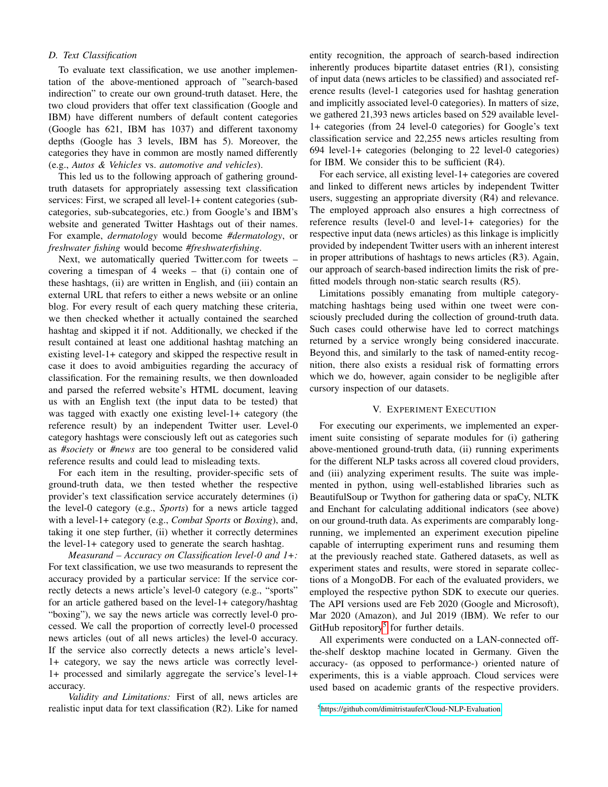# *D. Text Classification*

To evaluate text classification, we use another implementation of the above-mentioned approach of "search-based indirection" to create our own ground-truth dataset. Here, the two cloud providers that offer text classification (Google and IBM) have different numbers of default content categories (Google has 621, IBM has 1037) and different taxonomy depths (Google has 3 levels, IBM has 5). Moreover, the categories they have in common are mostly named differently (e.g., *Autos & Vehicles* vs. *automotive and vehicles*).

This led us to the following approach of gathering groundtruth datasets for appropriately assessing text classification services: First, we scraped all level-1+ content categories (subcategories, sub-subcategories, etc.) from Google's and IBM's website and generated Twitter Hashtags out of their names. For example, *dermatology* would become *#dermatology*, or *freshwater fishing* would become *#freshwaterfishing*.

Next, we automatically queried Twitter.com for tweets – covering a timespan of 4 weeks – that (i) contain one of these hashtags, (ii) are written in English, and (iii) contain an external URL that refers to either a news website or an online blog. For every result of each query matching these criteria, we then checked whether it actually contained the searched hashtag and skipped it if not. Additionally, we checked if the result contained at least one additional hashtag matching an existing level-1+ category and skipped the respective result in case it does to avoid ambiguities regarding the accuracy of classification. For the remaining results, we then downloaded and parsed the referred website's HTML document, leaving us with an English text (the input data to be tested) that was tagged with exactly one existing level-1+ category (the reference result) by an independent Twitter user. Level-0 category hashtags were consciously left out as categories such as *#society* or *#news* are too general to be considered valid reference results and could lead to misleading texts.

For each item in the resulting, provider-specific sets of ground-truth data, we then tested whether the respective provider's text classification service accurately determines (i) the level-0 category (e.g., *Sports*) for a news article tagged with a level-1+ category (e.g., *Combat Sports* or *Boxing*), and, taking it one step further, (ii) whether it correctly determines the level-1+ category used to generate the search hashtag.

*Measurand – Accuracy on Classification level-0 and 1+:* For text classification, we use two measurands to represent the accuracy provided by a particular service: If the service correctly detects a news article's level-0 category (e.g., "sports" for an article gathered based on the level-1+ category/hashtag "boxing"), we say the news article was correctly level-0 processed. We call the proportion of correctly level-0 processed news articles (out of all news articles) the level-0 accuracy. If the service also correctly detects a news article's level-1+ category, we say the news article was correctly level-1+ processed and similarly aggregate the service's level-1+ accuracy.

*Validity and Limitations:* First of all, news articles are realistic input data for text classification (R2). Like for named entity recognition, the approach of search-based indirection inherently produces bipartite dataset entries (R1), consisting of input data (news articles to be classified) and associated reference results (level-1 categories used for hashtag generation and implicitly associated level-0 categories). In matters of size, we gathered 21,393 news articles based on 529 available level-1+ categories (from 24 level-0 categories) for Google's text classification service and 22,255 news articles resulting from 694 level-1+ categories (belonging to 22 level-0 categories) for IBM. We consider this to be sufficient (R4).

For each service, all existing level-1+ categories are covered and linked to different news articles by independent Twitter users, suggesting an appropriate diversity (R4) and relevance. The employed approach also ensures a high correctness of reference results (level-0 and level-1+ categories) for the respective input data (news articles) as this linkage is implicitly provided by independent Twitter users with an inherent interest in proper attributions of hashtags to news articles (R3). Again, our approach of search-based indirection limits the risk of prefitted models through non-static search results (R5).

Limitations possibly emanating from multiple categorymatching hashtags being used within one tweet were consciously precluded during the collection of ground-truth data. Such cases could otherwise have led to correct matchings returned by a service wrongly being considered inaccurate. Beyond this, and similarly to the task of named-entity recognition, there also exists a residual risk of formatting errors which we do, however, again consider to be negligible after cursory inspection of our datasets.

## V. EXPERIMENT EXECUTION

<span id="page-5-0"></span>For executing our experiments, we implemented an experiment suite consisting of separate modules for (i) gathering above-mentioned ground-truth data, (ii) running experiments for the different NLP tasks across all covered cloud providers, and (iii) analyzing experiment results. The suite was implemented in python, using well-established libraries such as BeautifulSoup or Twython for gathering data or spaCy, NLTK and Enchant for calculating additional indicators (see above) on our ground-truth data. As experiments are comparably longrunning, we implemented an experiment execution pipeline capable of interrupting experiment runs and resuming them at the previously reached state. Gathered datasets, as well as experiment states and results, were stored in separate collections of a MongoDB. For each of the evaluated providers, we employed the respective python SDK to execute our queries. The API versions used are Feb 2020 (Google and Microsoft), Mar 2020 (Amazon), and Jul 2019 (IBM). We refer to our GitHub repository<sup>[5](#page-5-1)</sup> for further details.

All experiments were conducted on a LAN-connected offthe-shelf desktop machine located in Germany. Given the accuracy- (as opposed to performance-) oriented nature of experiments, this is a viable approach. Cloud services were used based on academic grants of the respective providers.

<span id="page-5-1"></span><sup>5</sup><https://github.com/dimitristaufer/Cloud-NLP-Evaluation>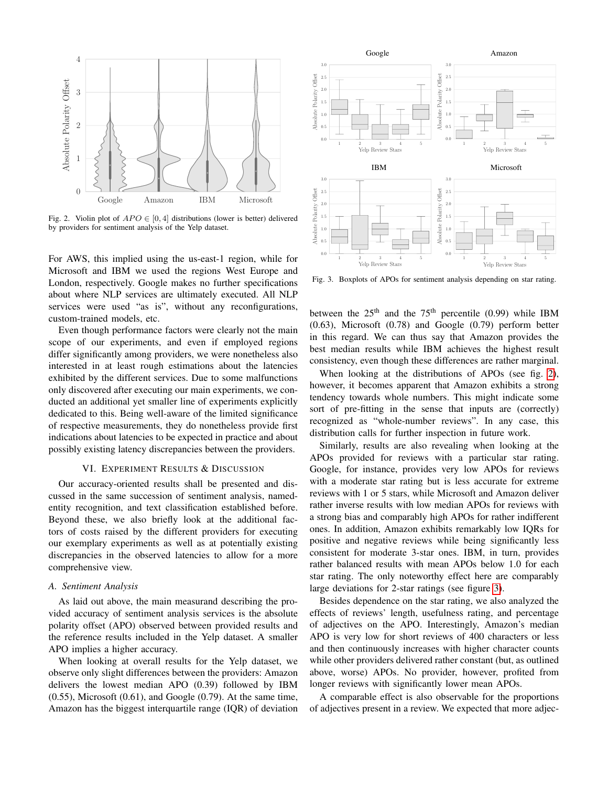

Fig. 2. Violin plot of  $APO \in [0, 4]$  distributions (lower is better) delivered by providers for sentiment analysis of the Yelp dataset.

For AWS, this implied using the us-east-1 region, while for Microsoft and IBM we used the regions West Europe and London, respectively. Google makes no further specifications about where NLP services are ultimately executed. All NLP services were used "as is", without any reconfigurations, custom-trained models, etc.

Even though performance factors were clearly not the main scope of our experiments, and even if employed regions differ significantly among providers, we were nonetheless also interested in at least rough estimations about the latencies exhibited by the different services. Due to some malfunctions only discovered after executing our main experiments, we conducted an additional yet smaller line of experiments explicitly dedicated to this. Being well-aware of the limited significance of respective measurements, they do nonetheless provide first indications about latencies to be expected in practice and about possibly existing latency discrepancies between the providers.

## VI. EXPERIMENT RESULTS & DISCUSSION

<span id="page-6-0"></span>Our accuracy-oriented results shall be presented and discussed in the same succession of sentiment analysis, namedentity recognition, and text classification established before. Beyond these, we also briefly look at the additional factors of costs raised by the different providers for executing our exemplary experiments as well as at potentially existing discrepancies in the observed latencies to allow for a more comprehensive view.

#### *A. Sentiment Analysis*

As laid out above, the main measurand describing the provided accuracy of sentiment analysis services is the absolute polarity offset (APO) observed between provided results and the reference results included in the Yelp dataset. A smaller APO implies a higher accuracy.

When looking at overall results for the Yelp dataset, we observe only slight differences between the providers: Amazon delivers the lowest median APO (0.39) followed by IBM  $(0.55)$ , Microsoft  $(0.61)$ , and Google  $(0.79)$ . At the same time, Amazon has the biggest interquartile range (IQR) of deviation



<span id="page-6-2"></span><span id="page-6-1"></span>Fig. 3. Boxplots of APOs for sentiment analysis depending on star rating.

between the  $25<sup>th</sup>$  and the  $75<sup>th</sup>$  percentile (0.99) while IBM (0.63), Microsoft (0.78) and Google (0.79) perform better in this regard. We can thus say that Amazon provides the best median results while IBM achieves the highest result consistency, even though these differences are rather marginal.

When looking at the distributions of APOs (see fig. [2\)](#page-6-1), however, it becomes apparent that Amazon exhibits a strong tendency towards whole numbers. This might indicate some sort of pre-fitting in the sense that inputs are (correctly) recognized as "whole-number reviews". In any case, this distribution calls for further inspection in future work.

Similarly, results are also revealing when looking at the APOs provided for reviews with a particular star rating. Google, for instance, provides very low APOs for reviews with a moderate star rating but is less accurate for extreme reviews with 1 or 5 stars, while Microsoft and Amazon deliver rather inverse results with low median APOs for reviews with a strong bias and comparably high APOs for rather indifferent ones. In addition, Amazon exhibits remarkably low IQRs for positive and negative reviews while being significantly less consistent for moderate 3-star ones. IBM, in turn, provides rather balanced results with mean APOs below 1.0 for each star rating. The only noteworthy effect here are comparably large deviations for 2-star ratings (see figure [3\)](#page-6-2).

Besides dependence on the star rating, we also analyzed the effects of reviews' length, usefulness rating, and percentage of adjectives on the APO. Interestingly, Amazon's median APO is very low for short reviews of 400 characters or less and then continuously increases with higher character counts while other providers delivered rather constant (but, as outlined above, worse) APOs. No provider, however, profited from longer reviews with significantly lower mean APOs.

A comparable effect is also observable for the proportions of adjectives present in a review. We expected that more adjec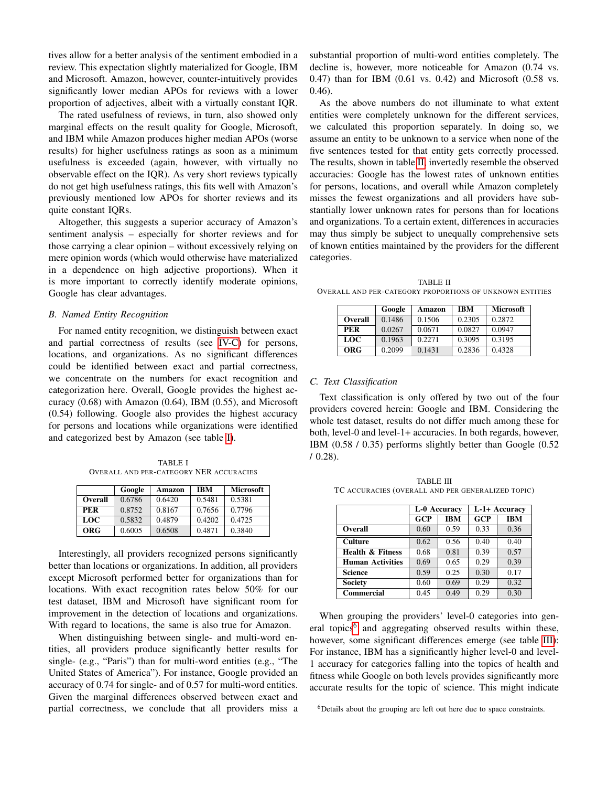tives allow for a better analysis of the sentiment embodied in a review. This expectation slightly materialized for Google, IBM and Microsoft. Amazon, however, counter-intuitively provides significantly lower median APOs for reviews with a lower proportion of adjectives, albeit with a virtually constant IQR.

The rated usefulness of reviews, in turn, also showed only marginal effects on the result quality for Google, Microsoft, and IBM while Amazon produces higher median APOs (worse results) for higher usefulness ratings as soon as a minimum usefulness is exceeded (again, however, with virtually no observable effect on the IQR). As very short reviews typically do not get high usefulness ratings, this fits well with Amazon's previously mentioned low APOs for shorter reviews and its quite constant IQRs.

Altogether, this suggests a superior accuracy of Amazon's sentiment analysis – especially for shorter reviews and for those carrying a clear opinion – without excessively relying on mere opinion words (which would otherwise have materialized in a dependence on high adjective proportions). When it is more important to correctly identify moderate opinions, Google has clear advantages.

#### *B. Named Entity Recognition*

For named entity recognition, we distinguish between exact and partial correctness of results (see [IV-C\)](#page-4-2) for persons, locations, and organizations. As no significant differences could be identified between exact and partial correctness, we concentrate on the numbers for exact recognition and categorization here. Overall, Google provides the highest accuracy (0.68) with Amazon (0.64), IBM (0.55), and Microsoft (0.54) following. Google also provides the highest accuracy for persons and locations while organizations were identified and categorized best by Amazon (see table [I\)](#page-7-0).

<span id="page-7-0"></span>TABLE I OVERALL AND PER-CATEGORY NER ACCURACIES

|            | Google | Amazon | <b>IBM</b> | <b>Microsoft</b> |
|------------|--------|--------|------------|------------------|
| Overall    | 0.6786 | 0.6420 | 0.5481     | 0.5381           |
| PER        | 0.8752 | 0.8167 | 0.7656     | 0.7796           |
| <b>LOC</b> | 0.5832 | 0.4879 | 0.4202     | 0.4725           |
| ORG        | 0.6005 | 0.6508 | 0.4871     | 0.3840           |

Interestingly, all providers recognized persons significantly better than locations or organizations. In addition, all providers except Microsoft performed better for organizations than for locations. With exact recognition rates below 50% for our test dataset, IBM and Microsoft have significant room for improvement in the detection of locations and organizations. With regard to locations, the same is also true for Amazon.

When distinguishing between single- and multi-word entities, all providers produce significantly better results for single- (e.g., "Paris") than for multi-word entities (e.g., "The United States of America"). For instance, Google provided an accuracy of 0.74 for single- and of 0.57 for multi-word entities. Given the marginal differences observed between exact and partial correctness, we conclude that all providers miss a substantial proportion of multi-word entities completely. The decline is, however, more noticeable for Amazon (0.74 vs. 0.47) than for IBM (0.61 vs. 0.42) and Microsoft (0.58 vs. 0.46).

As the above numbers do not illuminate to what extent entities were completely unknown for the different services, we calculated this proportion separately. In doing so, we assume an entity to be unknown to a service when none of the five sentences tested for that entity gets correctly processed. The results, shown in table [II,](#page-7-1) invertedly resemble the observed accuracies: Google has the lowest rates of unknown entities for persons, locations, and overall while Amazon completely misses the fewest organizations and all providers have substantially lower unknown rates for persons than for locations and organizations. To a certain extent, differences in accuracies may thus simply be subject to unequally comprehensive sets of known entities maintained by the providers for the different categories.

<span id="page-7-1"></span>TABLE II OVERALL AND PER-CATEGORY PROPORTIONS OF UNKNOWN ENTITIES

|         | Google | Amazon | <b>IBM</b> | <b>Microsoft</b> |
|---------|--------|--------|------------|------------------|
| Overall | 0.1486 | 0.1506 | 0.2305     | 0.2872           |
| PER     | 0.0267 | 0.0671 | 0.0827     | 0.0947           |
| LOC     | 0.1963 | 0.2271 | 0.3095     | 0.3195           |
| ORG     | 0.2099 | 0.1431 | 0.2836     | 0.4328           |

# *C. Text Classification*

Text classification is only offered by two out of the four providers covered herein: Google and IBM. Considering the whole test dataset, results do not differ much among these for both, level-0 and level-1+ accuracies. In both regards, however, IBM (0.58 / 0.35) performs slightly better than Google (0.52  $/ 0.28$ ).

<span id="page-7-3"></span>TABLE III TC ACCURACIES (OVERALL AND PER GENERALIZED TOPIC)

|                             | L-0 Accuracy     |            | L-1+ Accuracy |            |
|-----------------------------|------------------|------------|---------------|------------|
|                             | $\overline{GCP}$ | <b>IBM</b> | GCP           | <b>IBM</b> |
| Overall                     | 0.60             | 0.59       | 0.33          | 0.36       |
| <b>Culture</b>              | 0.62             | 0.56       | 0.40          | 0.40       |
| <b>Health &amp; Fitness</b> | 0.68             | 0.81       | 0.39          | 0.57       |
| <b>Human Activities</b>     | 0.69             | 0.65       | 0.29          | 0.39       |
| <b>Science</b>              | 0.59             | 0.25       | 0.30          | 0.17       |
| <b>Society</b>              | 0.60             | 0.69       | 0.29          | 0.32       |
| <b>Commercial</b>           | 0.45             | 0.49       | 0.29          | 0.30       |

When grouping the providers' level-0 categories into gen-eral topics<sup>[6](#page-7-2)</sup> and aggregating observed results within these, however, some significant differences emerge (see table [III\)](#page-7-3): For instance, IBM has a significantly higher level-0 and level-1 accuracy for categories falling into the topics of health and fitness while Google on both levels provides significantly more accurate results for the topic of science. This might indicate

<span id="page-7-2"></span><sup>6</sup>Details about the grouping are left out here due to space constraints.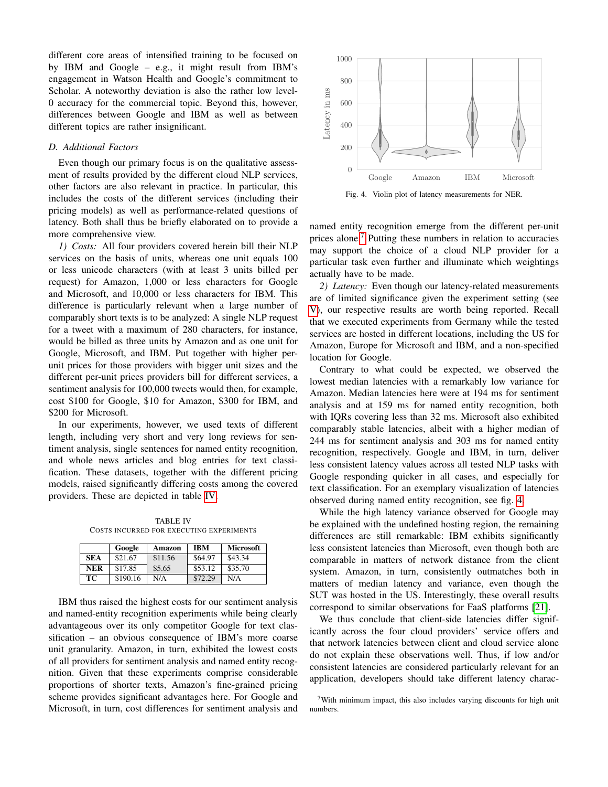different core areas of intensified training to be focused on by IBM and Google – e.g., it might result from IBM's engagement in Watson Health and Google's commitment to Scholar. A noteworthy deviation is also the rather low level-0 accuracy for the commercial topic. Beyond this, however, differences between Google and IBM as well as between different topics are rather insignificant.

## *D. Additional Factors*

Even though our primary focus is on the qualitative assessment of results provided by the different cloud NLP services, other factors are also relevant in practice. In particular, this includes the costs of the different services (including their pricing models) as well as performance-related questions of latency. Both shall thus be briefly elaborated on to provide a more comprehensive view.

*1) Costs:* All four providers covered herein bill their NLP services on the basis of units, whereas one unit equals 100 or less unicode characters (with at least 3 units billed per request) for Amazon, 1,000 or less characters for Google and Microsoft, and 10,000 or less characters for IBM. This difference is particularly relevant when a large number of comparably short texts is to be analyzed: A single NLP request for a tweet with a maximum of 280 characters, for instance, would be billed as three units by Amazon and as one unit for Google, Microsoft, and IBM. Put together with higher perunit prices for those providers with bigger unit sizes and the different per-unit prices providers bill for different services, a sentiment analysis for 100,000 tweets would then, for example, cost \$100 for Google, \$10 for Amazon, \$300 for IBM, and \$200 for Microsoft.

In our experiments, however, we used texts of different length, including very short and very long reviews for sentiment analysis, single sentences for named entity recognition, and whole news articles and blog entries for text classification. These datasets, together with the different pricing models, raised significantly differing costs among the covered providers. These are depicted in table [IV.](#page-8-0)

<span id="page-8-0"></span>TABLE IV COSTS INCURRED FOR EXECUTING EXPERIMENTS

|            | Google   | Amazon  | <b>IBM</b> | <b>Microsoft</b> |
|------------|----------|---------|------------|------------------|
| <b>SEA</b> | \$21.67  | \$11.56 | \$64.97    | \$43.34          |
| <b>NER</b> | \$17.85  | \$5.65  | \$53.12    | \$35.70          |
| TC.        | \$190.16 | N/A     | \$72.29    | N/A              |

IBM thus raised the highest costs for our sentiment analysis and named-entity recognition experiments while being clearly advantageous over its only competitor Google for text classification – an obvious consequence of IBM's more coarse unit granularity. Amazon, in turn, exhibited the lowest costs of all providers for sentiment analysis and named entity recognition. Given that these experiments comprise considerable proportions of shorter texts, Amazon's fine-grained pricing scheme provides significant advantages here. For Google and Microsoft, in turn, cost differences for sentiment analysis and



<span id="page-8-2"></span>Fig. 4. Violin plot of latency measurements for NER.

named entity recognition emerge from the different per-unit prices alone.[7](#page-8-1) Putting these numbers in relation to accuracies may support the choice of a cloud NLP provider for a particular task even further and illuminate which weightings actually have to be made.

*2) Latency:* Even though our latency-related measurements are of limited significance given the experiment setting (see [V\)](#page-5-0), our respective results are worth being reported. Recall that we executed experiments from Germany while the tested services are hosted in different locations, including the US for Amazon, Europe for Microsoft and IBM, and a non-specified location for Google.

Contrary to what could be expected, we observed the lowest median latencies with a remarkably low variance for Amazon. Median latencies here were at 194 ms for sentiment analysis and at 159 ms for named entity recognition, both with IQRs covering less than 32 ms. Microsoft also exhibited comparably stable latencies, albeit with a higher median of 244 ms for sentiment analysis and 303 ms for named entity recognition, respectively. Google and IBM, in turn, deliver less consistent latency values across all tested NLP tasks with Google responding quicker in all cases, and especially for text classification. For an exemplary visualization of latencies observed during named entity recognition, see fig. [4.](#page-8-2)

While the high latency variance observed for Google may be explained with the undefined hosting region, the remaining differences are still remarkable: IBM exhibits significantly less consistent latencies than Microsoft, even though both are comparable in matters of network distance from the client system. Amazon, in turn, consistently outmatches both in matters of median latency and variance, even though the SUT was hosted in the US. Interestingly, these overall results correspond to similar observations for FaaS platforms [\[21\]](#page-9-21).

We thus conclude that client-side latencies differ significantly across the four cloud providers' service offers and that network latencies between client and cloud service alone do not explain these observations well. Thus, if low and/or consistent latencies are considered particularly relevant for an application, developers should take different latency charac-

<span id="page-8-1"></span> $7$ With minimum impact, this also includes varying discounts for high unit numbers.